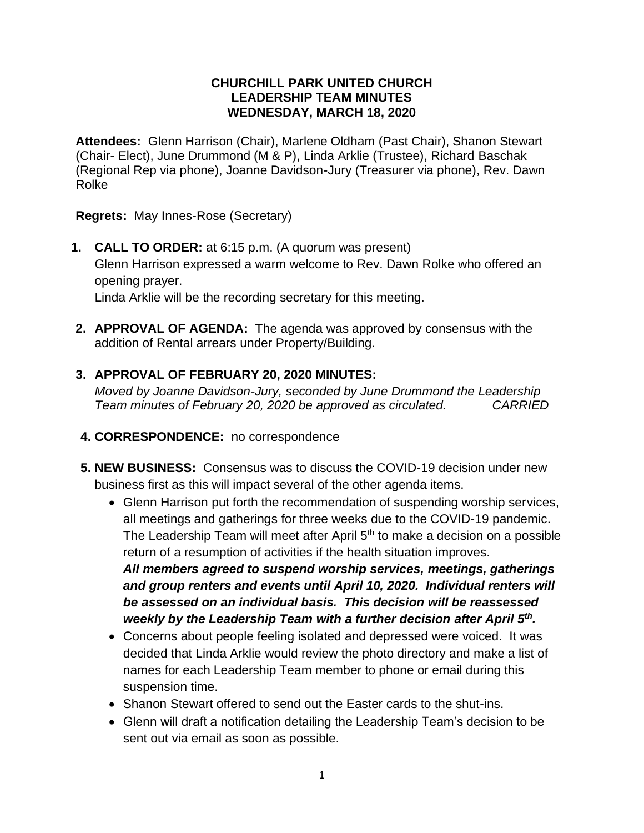## **CHURCHILL PARK UNITED CHURCH LEADERSHIP TEAM MINUTES WEDNESDAY, MARCH 18, 2020**

**Attendees:** Glenn Harrison (Chair), Marlene Oldham (Past Chair), Shanon Stewart (Chair- Elect), June Drummond (M & P), Linda Arklie (Trustee), Richard Baschak (Regional Rep via phone), Joanne Davidson-Jury (Treasurer via phone), Rev. Dawn Rolke

**Regrets:** May Innes-Rose (Secretary)

- **1. CALL TO ORDER:** at 6:15 p.m. (A quorum was present) Glenn Harrison expressed a warm welcome to Rev. Dawn Rolke who offered an opening prayer. Linda Arklie will be the recording secretary for this meeting.
- **2. APPROVAL OF AGENDA:** The agenda was approved by consensus with the addition of Rental arrears under Property/Building.

# **3. APPROVAL OF FEBRUARY 20, 2020 MINUTES:**

*Moved by Joanne Davidson-Jury, seconded by June Drummond the Leadership Team minutes of February 20, 2020 be approved as circulated. CARRIED*

- **4. CORRESPONDENCE:** no correspondence
- **5. NEW BUSINESS:** Consensus was to discuss the COVID-19 decision under new business first as this will impact several of the other agenda items.
	- Glenn Harrison put forth the recommendation of suspending worship services, all meetings and gatherings for three weeks due to the COVID-19 pandemic. The Leadership Team will meet after April  $5<sup>th</sup>$  to make a decision on a possible return of a resumption of activities if the health situation improves. *All members agreed to suspend worship services, meetings, gatherings and group renters and events until April 10, 2020. Individual renters will be assessed on an individual basis. This decision will be reassessed weekly by the Leadership Team with a further decision after April 5th .*
	- Concerns about people feeling isolated and depressed were voiced. It was decided that Linda Arklie would review the photo directory and make a list of names for each Leadership Team member to phone or email during this suspension time.
	- Shanon Stewart offered to send out the Easter cards to the shut-ins.
	- Glenn will draft a notification detailing the Leadership Team's decision to be sent out via email as soon as possible.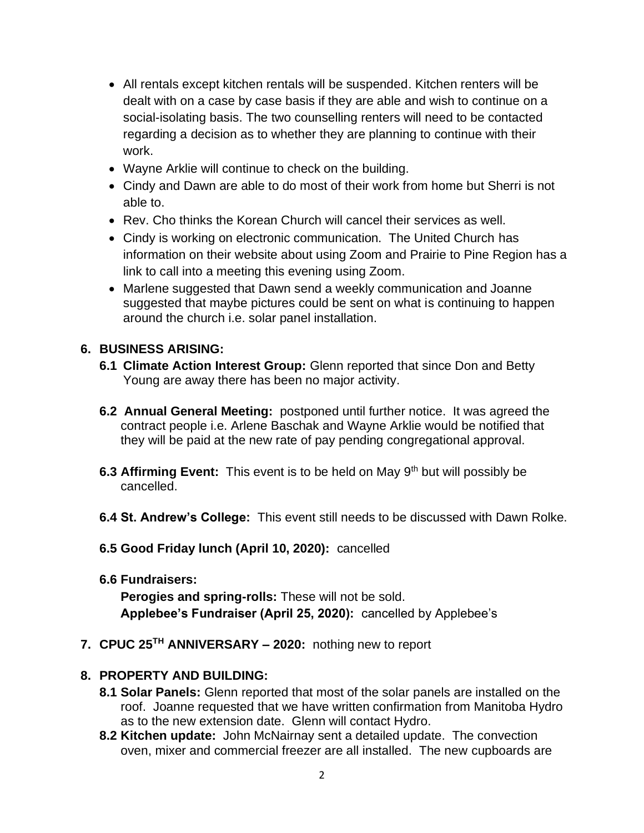- All rentals except kitchen rentals will be suspended. Kitchen renters will be dealt with on a case by case basis if they are able and wish to continue on a social-isolating basis. The two counselling renters will need to be contacted regarding a decision as to whether they are planning to continue with their work.
- Wayne Arklie will continue to check on the building.
- Cindy and Dawn are able to do most of their work from home but Sherri is not able to.
- Rev. Cho thinks the Korean Church will cancel their services as well.
- Cindy is working on electronic communication. The United Church has information on their website about using Zoom and Prairie to Pine Region has a link to call into a meeting this evening using Zoom.
- Marlene suggested that Dawn send a weekly communication and Joanne suggested that maybe pictures could be sent on what is continuing to happen around the church i.e. solar panel installation.

## **6. BUSINESS ARISING:**

- **6.1 Climate Action Interest Group:** Glenn reported that since Don and Betty Young are away there has been no major activity.
- **6.2 Annual General Meeting:** postponed until further notice. It was agreed the contract people i.e. Arlene Baschak and Wayne Arklie would be notified that they will be paid at the new rate of pay pending congregational approval.
- **6.3 Affirming Event:** This event is to be held on May 9th but will possibly be cancelled.
- **6.4 St. Andrew's College:** This event still needs to be discussed with Dawn Rolke.
- **6.5 Good Friday lunch (April 10, 2020):** cancelled
- **6.6 Fundraisers:**

**Perogies and spring-rolls:** These will not be sold. **Applebee's Fundraiser (April 25, 2020):** cancelled by Applebee's

**7. CPUC 25TH ANNIVERSARY – 2020:** nothing new to report

## **8. PROPERTY AND BUILDING:**

- **8.1 Solar Panels:** Glenn reported that most of the solar panels are installed on the roof. Joanne requested that we have written confirmation from Manitoba Hydro as to the new extension date. Glenn will contact Hydro.
- **8.2 Kitchen update:** John McNairnay sent a detailed update. The convection oven, mixer and commercial freezer are all installed. The new cupboards are